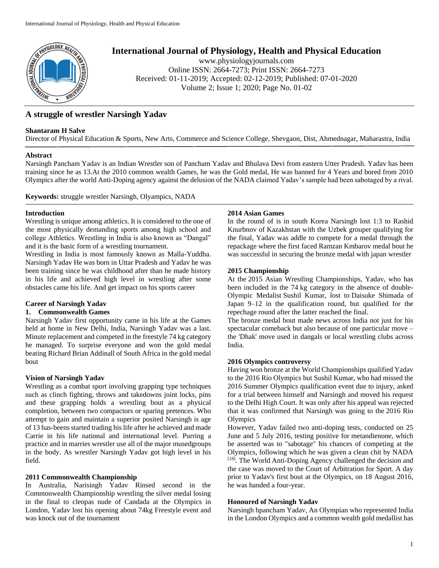

# **International Journal of Physiology, Health and Physical Education**

www.physiologyjournals.com Online ISSN: 2664-7273; Print ISSN: 2664-7273 Received: 01-11-2019; Accepted: 02-12-2019; Published: 07-01-2020 Volume 2; Issue 1; 2020; Page No. 01-02

## **A struggle of wrestler Narsingh Yadav**

#### **Shantaram H Salve**

Director of Physical Education & Sports, New Arts, Commerce and Science College, Shevgaon, Dist, Ahmednagar, Maharastra, India

#### **Abstract**

Narsingh Pancham Yadav is an Indian Wrestler son of Pancham Yadav and Bhulava Devi from eastern Utter Pradesh. Yadav has been training since he as 13.At the 2010 common wealth Games, he was the Gold medal, He was banned for 4 Years and bored from 2010 Olympics after the world Anti-Doping agency against the delusion of the NADA claimed Yadav's sample had been sabotaged by a rival.

**Keywords:** struggle wrestler Narsingh, Olyampics, NADA

#### **Introduction**

Wrestling is unique among athletics. It is considered to the one of the most physically demanding sports among high school and college Athletics. Wrestling in India is also known as "Dangal" and it is the basic form of a wrestling tournament.

Wrestling in India is most famously known as Malla-Yuddha. Narsingh Yadav He was born in Uttar Pradesh and Yadav he was been training since he was childhood after than he made history in his life and achieved high level in wrestling after some obstacles came his life. And get impact on his sports career

## **Career of Narsingh Yadav**

#### **1. Commonwealth Games**

Narsingh Yadav first opportunity came in his life at the Games held at home in New Delhi, India, Narsingh Yadav was a last. Minute replacement and competed in the freestyle 74 kg category he managed. To surprise everyone and won the gold medal beating Richard Brian Addinall of South Africa in the gold medal bout

## **Vision of Narsingh Yadav**

Wrestling as a combat sport involving grapping type techniques such as clinch fighting, throws and takedowns joint locks, pins and these grapping holds a wrestling bout as a physical completion, between two compactors or sparing pretences. Who attempt to gain and maintain a superior posited Narsingh is age of 13 has-beens started trading his life after he achieved and made Carrie in his life national and international level. Purring a practice and in marries wrestler use all of the major musedgroups in the body. As wrestler Narsingh Yadav got high level in his field.

## **2011 Commonwealth Championship**

In Australia, Narisingh Yadav Rinsed second in the Commonwealth Championship wrestling the silver medal losing in the final to cleopas nude of Candada at the Olympics in London, Yadav lost his opening about 74kg Freestyle event and was knock out of the tournament

#### **2014 Asian Games**

In the round of is in south Korea Narsingh lost 1:3 to Rashid Knurbnov of Kazakhstan with the Uzbek grouper qualifying for the final, Yadav was addle to compete for a medal through the repackage where the first faced Ramzan Kmbarov medal bout he was successful in securing the bronze medal with japan wrestler

#### **2015 Championship**

At the 2015 Asian Wrestling Championships, Yadav, who has been included in the 74 kg category in the absence of double-Olympic Medalist Sushil Kumar, lost to Daisuke Shimada of Japan 9–12 in the qualification round, but qualified for the repechage round after the latter reached the final.

The bronze medal bout made news across India not just for his spectacular comeback but also because of one particular move – the 'Dhak' move used in dangals or local wrestling clubs across India.

#### **2016 Olympics controversy**

Having won bronze at the World Championships qualified Yadav to the 2016 Rio Olympics but Sushil Kumar, who had missed the 2016 Summer Olympics qualification event due to injury, asked for a trial between himself and Narsingh and moved his request to the Delhi High Court. It was only after his appeal was rejected that it was confirmed that Narsingh was going to the 2016 Rio **Olympics** 

However, Yadav failed two anti-doping tests, conducted on 25 June and 5 July 2016, testing positive for metandienone, which he asserted was to "sabotage" his chances of competing at the Olympics, following which he was given a clean chit by NADA [18]. The World Anti-Doping Agency challenged the decision and the case was moved to the Court of Arbitration for Sport. A day prior to Yadav's first bout at the Olympics, on 18 August 2016, he was handed a four-year.

## **Honoured of Narsingh Yadav**

Narsingh hpancham Yadav, An Olympian who represented India in the London Olympics and a common wealth gold medallist has